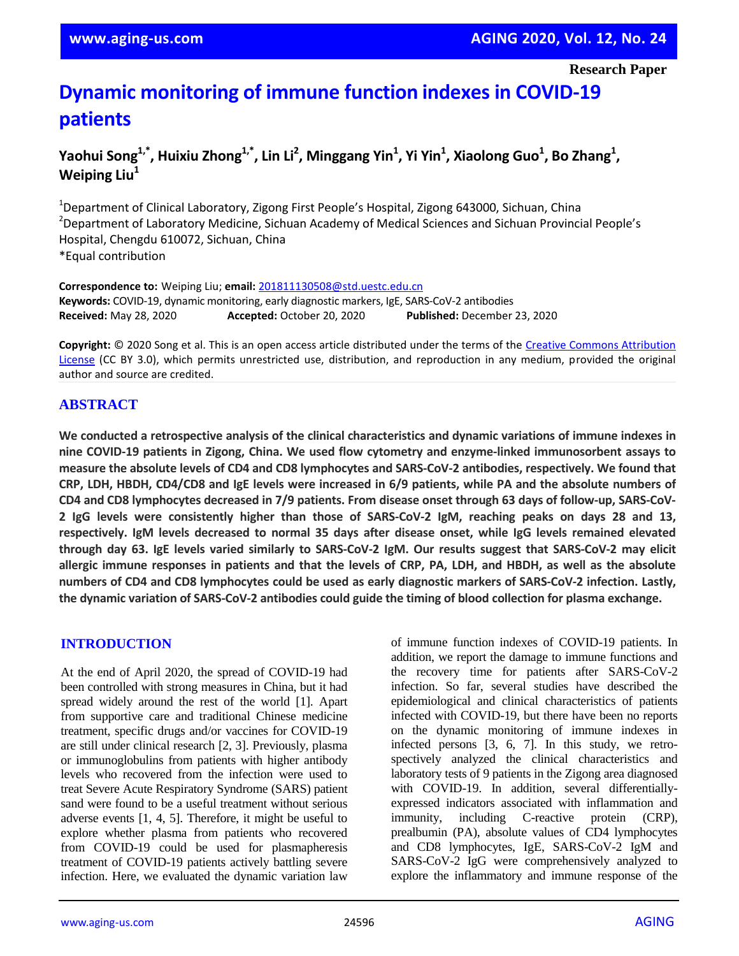**Research Paper**

# **Dynamic monitoring of immune function indexes in COVID-19 patients**

# **Yaohui Song1,\*, Huixiu Zhong1,\*, Lin Li<sup>2</sup> , Minggang Yin<sup>1</sup> , Yi Yin<sup>1</sup> , Xiaolong Guo<sup>1</sup> , Bo Zhang<sup>1</sup> , Weiping Liu<sup>1</sup>**

<sup>1</sup>Department of Clinical Laboratory, Zigong First People's Hospital, Zigong 643000, Sichuan, China <sup>2</sup>Department of Laboratory Medicine, Sichuan Academy of Medical Sciences and Sichuan Provincial People's Hospital, Chengdu 610072, Sichuan, China \*Equal contribution

**Correspondence to:** Weiping Liu; **email:** 201811130508@std.uestc.edu.cn **Keywords:** COVID-19, dynamic monitoring, early diagnostic markers, IgE, SARS-CoV-2 antibodies **Received:** May 28, 2020 **Accepted:** October 20, 2020 **Published:** December 23, 2020

**Copyright:** © 2020 Song et al. This is an open access article distributed under the terms of the Creative Commons Attribution License (CC BY 3.0), which permits unrestricted use, distribution, and reproduction in any medium, provided the original author and source are credited.

# **ABSTRACT**

We conducted a retrospective analysis of the clinical characteristics and dynamic variations of immune indexes in **nine COVID-19 patients in Zigong, China. We used flow cytometry and enzyme-linked immunosorbent assays to measure the absolute levels of CD4 and CD8 lymphocytes and SARS-CoV-2 antibodies, respectively. We found that** CRP, LDH, HBDH, CD4/CD8 and IgE levels were increased in 6/9 patients, while PA and the absolute numbers of CD4 and CD8 lymphocytes decreased in 7/9 patients. From disease onset through 63 days of follow-up, SARS-CoV-2 IgG levels were consistently higher than those of SARS-CoV-2 IgM, reaching peaks on days 28 and 13, **respectively. IgM levels decreased to normal 35 days after disease onset, while IgG levels remained elevated** through day 63. IgE levels varied similarly to SARS-CoV-2 IgM. Our results suggest that SARS-CoV-2 may elicit allergic immune responses in patients and that the levels of CRP, PA, LDH, and HBDH, as well as the absolute numbers of CD4 and CD8 lymphocytes could be used as early diagnostic markers of SARS-CoV-2 infection. Lastly, **the dynamic variation of SARS-CoV-2 antibodies could guide the timing of blood collection for plasma exchange.**

## **INTRODUCTION**

At the end of April 2020, the spread of COVID-19 had been controlled with strong measures in China, but it had spread widely around the rest of the world [1]. Apart from supportive care and traditional Chinese medicine treatment, specific drugs and/or vaccines for COVID-19 are still under clinical research [2, 3]. Previously, plasma or immunoglobulins from patients with higher antibody levels who recovered from the infection were used to treat Severe Acute Respiratory Syndrome (SARS) patient sand were found to be a useful treatment without serious adverse events [1, 4, 5]. Therefore, it might be useful to explore whether plasma from patients who recovered from COVID-19 could be used for plasmapheresis treatment of COVID-19 patients actively battling severe infection. Here, we evaluated the dynamic variation law of immune function indexes of COVID-19 patients. In addition, we report the damage to immune functions and the recovery time for patients after SARS-CoV-2 infection. So far, several studies have described the epidemiological and clinical characteristics of patients infected with COVID-19, but there have been no reports on the dynamic monitoring of immune indexes in infected persons [3, 6, 7]. In this study, we retrospectively analyzed the clinical characteristics and laboratory tests of 9 patients in the Zigong area diagnosed with COVID-19. In addition, several differentiallyexpressed indicators associated with inflammation and immunity, including C-reactive protein (CRP), prealbumin (PA), absolute values of CD4 lymphocytes and CD8 lymphocytes, IgE, SARS-CoV-2 IgM and SARS-CoV-2 IgG were comprehensively analyzed to explore the inflammatory and immune response of the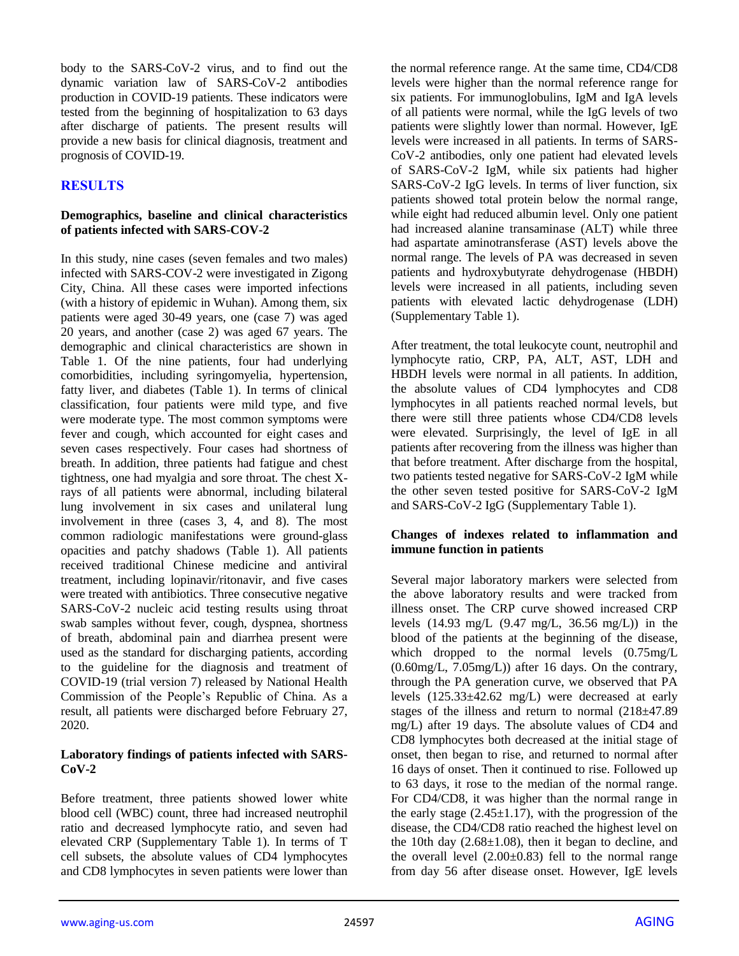body to the SARS-CoV-2 virus, and to find out the dynamic variation law of SARS-CoV-2 antibodies production in COVID-19 patients. These indicators were tested from the beginning of hospitalization to 63 days after discharge of patients. The present results will provide a new basis for clinical diagnosis, treatment and prognosis of COVID-19.

# **RESULTS**

## **Demographics, baseline and clinical characteristics of patients infected with SARS-COV-2**

In this study, nine cases (seven females and two males) infected with SARS-COV-2 were investigated in Zigong City, China. All these cases were imported infections (with a history of epidemic in Wuhan). Among them, six patients were aged 30-49 years, one (case 7) was aged 20 years, and another (case 2) was aged 67 years. The demographic and clinical characteristics are shown in Table 1. Of the nine patients, four had underlying comorbidities, including syringomyelia, hypertension, fatty liver, and diabetes (Table 1). In terms of clinical classification, four patients were mild type, and five were moderate type. The most common symptoms were fever and cough, which accounted for eight cases and seven cases respectively. Four cases had shortness of breath. In addition, three patients had fatigue and chest tightness, one had myalgia and sore throat. The chest Xrays of all patients were abnormal, including bilateral lung involvement in six cases and unilateral lung involvement in three (cases 3, 4, and 8). The most common radiologic manifestations were ground-glass opacities and patchy shadows (Table 1). All patients received traditional Chinese medicine and antiviral treatment, including lopinavir/ritonavir, and five cases were treated with antibiotics. Three consecutive negative SARS-CoV-2 nucleic acid testing results using throat swab samples without fever, cough, dyspnea, shortness of breath, abdominal pain and diarrhea present were used as the standard for discharging patients, according to the guideline for the diagnosis and treatment of COVID-19 (trial version 7) released by National Health Commission of the People's Republic of China. As a result, all patients were discharged before February 27, 2020.

## **Laboratory findings of patients infected with SARS-CoV-2**

Before treatment, three patients showed lower white blood cell (WBC) count, three had increased neutrophil ratio and decreased lymphocyte ratio, and seven had elevated CRP (Supplementary Table 1). In terms of T cell subsets, the absolute values of CD4 lymphocytes and CD8 lymphocytes in seven patients were lower than the normal reference range. At the same time, CD4/CD8 levels were higher than the normal reference range for six patients. For immunoglobulins, IgM and IgA levels of all patients were normal, while the IgG levels of two patients were slightly lower than normal. However, IgE levels were increased in all patients. In terms of SARS-CoV-2 antibodies, only one patient had elevated levels of SARS-CoV-2 IgM, while six patients had higher SARS-CoV-2 IgG levels. In terms of liver function, six patients showed total protein below the normal range, while eight had reduced albumin level. Only one patient had increased alanine transaminase (ALT) while three had aspartate aminotransferase (AST) levels above the normal range. The levels of PA was decreased in seven patients and hydroxybutyrate dehydrogenase (HBDH) levels were increased in all patients, including seven patients with elevated lactic dehydrogenase (LDH) (Supplementary Table 1).

After treatment, the total leukocyte count, neutrophil and lymphocyte ratio, CRP, PA, ALT, AST, LDH and HBDH levels were normal in all patients. In addition, the absolute values of CD4 lymphocytes and CD8 lymphocytes in all patients reached normal levels, but there were still three patients whose CD4/CD8 levels were elevated. Surprisingly, the level of IgE in all patients after recovering from the illness was higher than that before treatment. After discharge from the hospital, two patients tested negative for SARS-CoV-2 IgM while the other seven tested positive for SARS-CoV-2 IgM and SARS-CoV-2 IgG (Supplementary Table 1).

## **Changes of indexes related to inflammation and immune function in patients**

Several major laboratory markers were selected from the above laboratory results and were tracked from illness onset. The CRP curve showed increased CRP levels (14.93 mg/L (9.47 mg/L, 36.56 mg/L)) in the blood of the patients at the beginning of the disease, which dropped to the normal levels  $(0.75 \text{mg/L})$ (0.60mg/L, 7.05mg/L)) after 16 days. On the contrary, through the PA generation curve, we observed that PA levels (125.33±42.62 mg/L) were decreased at early stages of the illness and return to normal (218±47.89 mg/L) after 19 days. The absolute values of CD4 and CD8 lymphocytes both decreased at the initial stage of onset, then began to rise, and returned to normal after 16 days of onset. Then it continued to rise. Followed up to 63 days, it rose to the median of the normal range. For CD4/CD8, it was higher than the normal range in the early stage  $(2.45\pm1.17)$ , with the progression of the disease, the CD4/CD8 ratio reached the highest level on the 10th day  $(2.68\pm1.08)$ , then it began to decline, and the overall level  $(2.00\pm0.83)$  fell to the normal range from day 56 after disease onset. However, IgE levels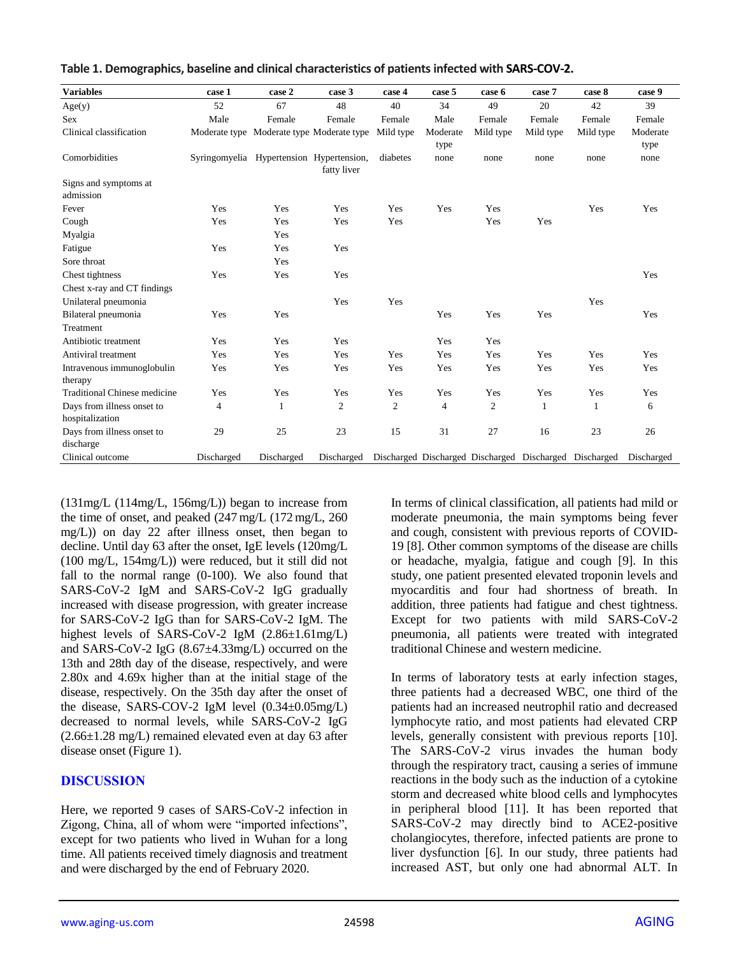| <b>Variables</b>                      | case 1                                    | case 2     | case 3         | case 4         | case 5           | case 6         | case 7                                                 | case 8    | case 9           |
|---------------------------------------|-------------------------------------------|------------|----------------|----------------|------------------|----------------|--------------------------------------------------------|-----------|------------------|
| Age(y)                                | 52                                        | 67         | 48             | 40             | 34               | 49             | 20                                                     | 42        | 39               |
| <b>Sex</b>                            | Male                                      | Female     | Female         | Female         | Male             | Female         | Female                                                 | Female    | Female           |
| Clinical classification               | Moderate type Moderate type Moderate type |            |                | Mild type      | Moderate<br>type | Mild type      | Mild type                                              | Mild type | Moderate<br>type |
| Comorbidities                         | Syringomyelia Hypertension Hypertension,  |            | fatty liver    | diabetes       | none             | none           | none                                                   | none      | none             |
| Signs and symptoms at<br>admission    |                                           |            |                |                |                  |                |                                                        |           |                  |
| Fever                                 | Yes                                       | Yes        | Yes            | Yes            | Yes              | Yes            |                                                        | Yes       | Yes              |
| Cough                                 | Yes                                       | Yes        | Yes            | Yes            |                  | Yes            | Yes                                                    |           |                  |
| Myalgia                               |                                           | Yes        |                |                |                  |                |                                                        |           |                  |
| Fatigue                               | Yes                                       | Yes        | Yes            |                |                  |                |                                                        |           |                  |
| Sore throat                           |                                           | Yes        |                |                |                  |                |                                                        |           |                  |
| Chest tightness                       | Yes                                       | Yes        | Yes            |                |                  |                |                                                        |           | Yes              |
| Chest x-ray and CT findings           |                                           |            |                |                |                  |                |                                                        |           |                  |
| Unilateral pneumonia                  |                                           |            | Yes            | Yes            |                  |                |                                                        | Yes       |                  |
| Bilateral pneumonia                   | Yes                                       | Yes        |                |                | Yes              | Yes            | Yes                                                    |           | Yes              |
| Treatment                             |                                           |            |                |                |                  |                |                                                        |           |                  |
| Antibiotic treatment                  | Yes                                       | Yes        | Yes            |                | Yes              | Yes            |                                                        |           |                  |
| Antiviral treatment                   | Yes                                       | Yes        | Yes            | Yes            | Yes              | Yes            | Yes                                                    | Yes       | Yes              |
| Intravenous immunoglobulin<br>therapy | Yes                                       | Yes        | Yes            | Yes            | Yes              | Yes            | Yes                                                    | Yes       | Yes              |
| <b>Traditional Chinese medicine</b>   | Yes                                       | Yes        | Yes            | Yes            | Yes              | Yes            | Yes                                                    | Yes       | Yes              |
| Days from illness onset to            | 4                                         | 1          | $\overline{c}$ | $\overline{c}$ | $\overline{4}$   | $\overline{c}$ | 1                                                      | 1         | 6                |
| hospitalization                       |                                           |            |                |                |                  |                |                                                        |           |                  |
| Days from illness onset to            | 29                                        | 25         | 23             | 15             | 31               | 27             | 16                                                     | 23        | 26               |
| discharge                             |                                           |            |                |                |                  |                |                                                        |           |                  |
| Clinical outcome                      | Discharged                                | Discharged | Discharged     |                |                  |                | Discharged Discharged Discharged Discharged Discharged |           | Discharged       |

| Table 1. Demographics, baseline and clinical characteristics of patients infected with SARS-COV-2. |  |
|----------------------------------------------------------------------------------------------------|--|
|----------------------------------------------------------------------------------------------------|--|

(131mg/L (114mg/L, 156mg/L)) began to increase from the time of onset, and peaked (247 mg/L (172 mg/L, 260 mg/L)) on day 22 after illness onset, then began to decline. Until day 63 after the onset, IgE levels (120mg/L (100 mg/L, 154mg/L)) were reduced, but it still did not fall to the normal range (0-100). We also found that SARS-CoV-2 IgM and SARS-CoV-2 IgG gradually increased with disease progression, with greater increase for SARS-CoV-2 IgG than for SARS-CoV-2 IgM. The highest levels of SARS-CoV-2 IgM (2.86±1.61mg/L) and SARS-CoV-2 IgG (8.67±4.33mg/L) occurred on the 13th and 28th day of the disease, respectively, and were 2.80x and 4.69x higher than at the initial stage of the disease, respectively. On the 35th day after the onset of the disease, SARS-COV-2 IgM level (0.34±0.05mg/L) decreased to normal levels, while SARS-CoV-2 IgG (2.66±1.28 mg/L) remained elevated even at day 63 after disease onset (Figure 1).

# **DISCUSSION**

Here, we reported 9 cases of SARS-CoV-2 infection in Zigong, China, all of whom were "imported infections", except for two patients who lived in Wuhan for a long time. All patients received timely diagnosis and treatment and were discharged by the end of February 2020.

In terms of clinical classification, all patients had mild or moderate pneumonia, the main symptoms being fever and cough, consistent with previous reports of COVID-19 [8]. Other common symptoms of the disease are chills or headache, myalgia, fatigue and cough [9]. In this study, one patient presented elevated troponin levels and myocarditis and four had shortness of breath. In addition, three patients had fatigue and chest tightness. Except for two patients with mild SARS-CoV-2 pneumonia, all patients were treated with integrated traditional Chinese and western medicine.

In terms of laboratory tests at early infection stages, three patients had a decreased WBC, one third of the patients had an increased neutrophil ratio and decreased lymphocyte ratio, and most patients had elevated CRP levels, generally consistent with previous reports [10]. The SARS-CoV-2 virus invades the human body through the respiratory tract, causing a series of immune reactions in the body such as the induction of a cytokine storm and decreased white blood cells and lymphocytes in peripheral blood [11]. It has been reported that SARS-CoV-2 may directly bind to ACE2-positive cholangiocytes, therefore, infected patients are prone to liver dysfunction [6]. In our study, three patients had increased AST, but only one had abnormal ALT. In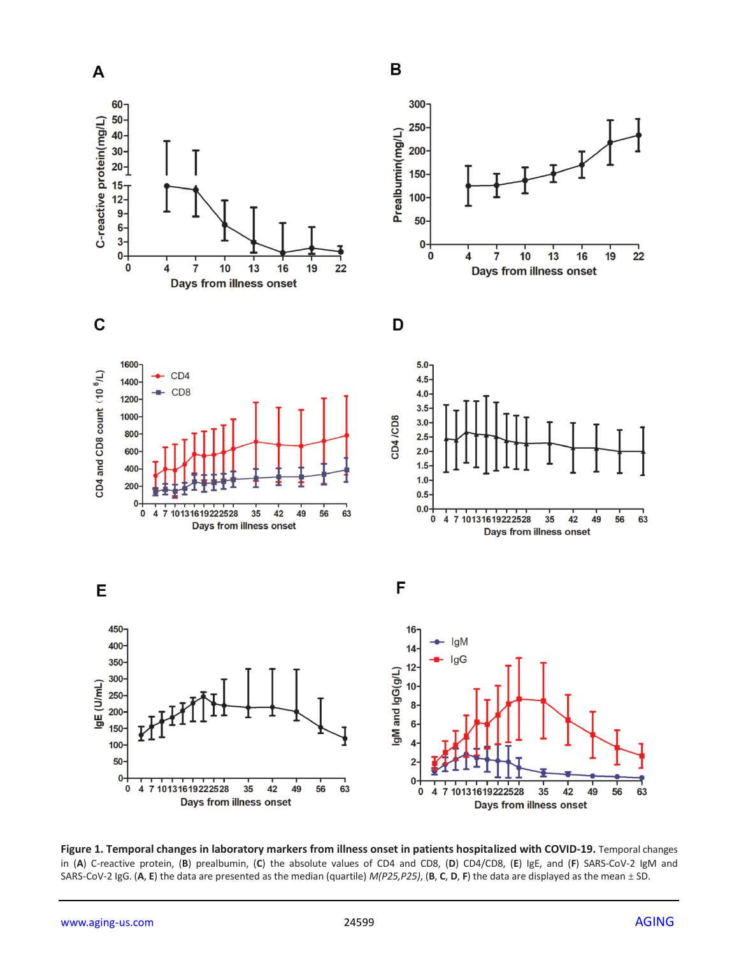

**Figure 1. Temporal changes in laboratory markers from illness onset in patients hospitalized with COVID-19.** Temporal changes in (**A**) C-reactive protein, (**B**) prealbumin, (**C**) the absolute values of CD4 and CD8, (**D**) CD4/CD8, (**E**) IgE, and (**F**) SARS-CoV-2 IgM and SARS-CoV-2 IgG. (**A**, **E**) the data are presented as the median (quartile) *M(P25,P25)*, (**B**, **C**, **D**, **F**) the data are displayed as the mean ± SD.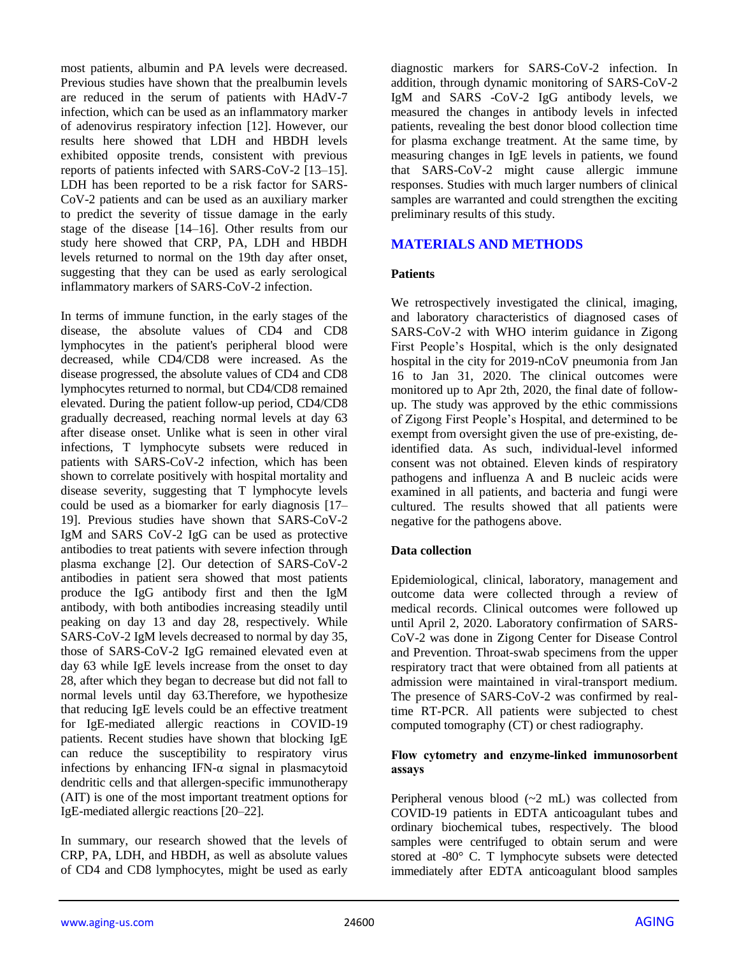most patients, albumin and PA levels were decreased. Previous studies have shown that the prealbumin levels are reduced in the serum of patients with HAdV-7 infection, which can be used as an inflammatory marker of adenovirus respiratory infection [12]. However, our results here showed that LDH and HBDH levels exhibited opposite trends, consistent with previous reports of patients infected with SARS-CoV-2 [13–15]. LDH has been reported to be a risk factor for SARS-CoV-2 patients and can be used as an auxiliary marker to predict the severity of tissue damage in the early stage of the disease [14–16]. Other results from our study here showed that CRP, PA, LDH and HBDH levels returned to normal on the 19th day after onset, suggesting that they can be used as early serological inflammatory markers of SARS-CoV-2 infection.

In terms of immune function, in the early stages of the disease, the absolute values of CD4 and CD8 lymphocytes in the patient's peripheral blood were decreased, while CD4/CD8 were increased. As the disease progressed, the absolute values of CD4 and CD8 lymphocytes returned to normal, but CD4/CD8 remained elevated. During the patient follow-up period, CD4/CD8 gradually decreased, reaching normal levels at day 63 after disease onset. Unlike what is seen in other viral infections, T lymphocyte subsets were reduced in patients with SARS-CoV-2 infection, which has been shown to correlate positively with hospital mortality and disease severity, suggesting that T lymphocyte levels could be used as a biomarker for early diagnosis [17– 19]. Previous studies have shown that SARS-CoV-2 IgM and SARS CoV-2 IgG can be used as protective antibodies to treat patients with severe infection through plasma exchange [2]. Our detection of SARS-CoV-2 antibodies in patient sera showed that most patients produce the IgG antibody first and then the IgM antibody, with both antibodies increasing steadily until peaking on day 13 and day 28, respectively. While SARS-CoV-2 IgM levels decreased to normal by day 35, those of SARS-CoV-2 IgG remained elevated even at day 63 while IgE levels increase from the onset to day 28, after which they began to decrease but did not fall to normal levels until day 63.Therefore, we hypothesize that reducing IgE levels could be an effective treatment for IgE-mediated allergic reactions in COVID-19 patients. Recent studies have shown that blocking IgE can reduce the susceptibility to respiratory virus infections by enhancing IFN- $\alpha$  signal in plasmacytoid dendritic cells and that allergen-specific immunotherapy (AIT) is one of the most important treatment options for IgE-mediated allergic reactions [20–22].

In summary, our research showed that the levels of CRP, PA, LDH, and HBDH, as well as absolute values of CD4 and CD8 lymphocytes, might be used as early diagnostic markers for SARS-CoV-2 infection. In addition, through dynamic monitoring of SARS-CoV-2 IgM and SARS -CoV-2 IgG antibody levels, we measured the changes in antibody levels in infected patients, revealing the best donor blood collection time for plasma exchange treatment. At the same time, by measuring changes in IgE levels in patients, we found that SARS-CoV-2 might cause allergic immune responses. Studies with much larger numbers of clinical samples are warranted and could strengthen the exciting preliminary results of this study.

# **MATERIALS AND METHODS**

## **Patients**

We retrospectively investigated the clinical, imaging, and laboratory characteristics of diagnosed cases of SARS-CoV-2 with WHO interim guidance in Zigong First People's Hospital, which is the only designated hospital in the city for 2019-nCoV pneumonia from Jan 16 to Jan 31, 2020. The clinical outcomes were monitored up to Apr 2th, 2020, the final date of followup. The study was approved by the ethic commissions of Zigong First People's Hospital, and determined to be exempt from oversight given the use of pre-existing, deidentified data. As such, individual-level informed consent was not obtained. Eleven kinds of respiratory pathogens and influenza A and B nucleic acids were examined in all patients, and bacteria and fungi were cultured. The results showed that all patients were negative for the pathogens above.

## **Data collection**

Epidemiological, clinical, laboratory, management and outcome data were collected through a review of medical records. Clinical outcomes were followed up until April 2, 2020. Laboratory confirmation of SARS-CoV-2 was done in Zigong Center for Disease Control and Prevention. Throat-swab specimens from the upper respiratory tract that were obtained from all patients at admission were maintained in viral-transport medium. The presence of SARS-CoV-2 was confirmed by realtime RT-PCR. All patients were subjected to chest computed tomography (CT) or chest radiography.

#### **Flow cytometry and enzyme-linked immunosorbent assays**

Peripheral venous blood (~2 mL) was collected from COVID-19 patients in EDTA anticoagulant tubes and ordinary biochemical tubes, respectively. The blood samples were centrifuged to obtain serum and were stored at -80° C. T lymphocyte subsets were detected immediately after EDTA anticoagulant blood samples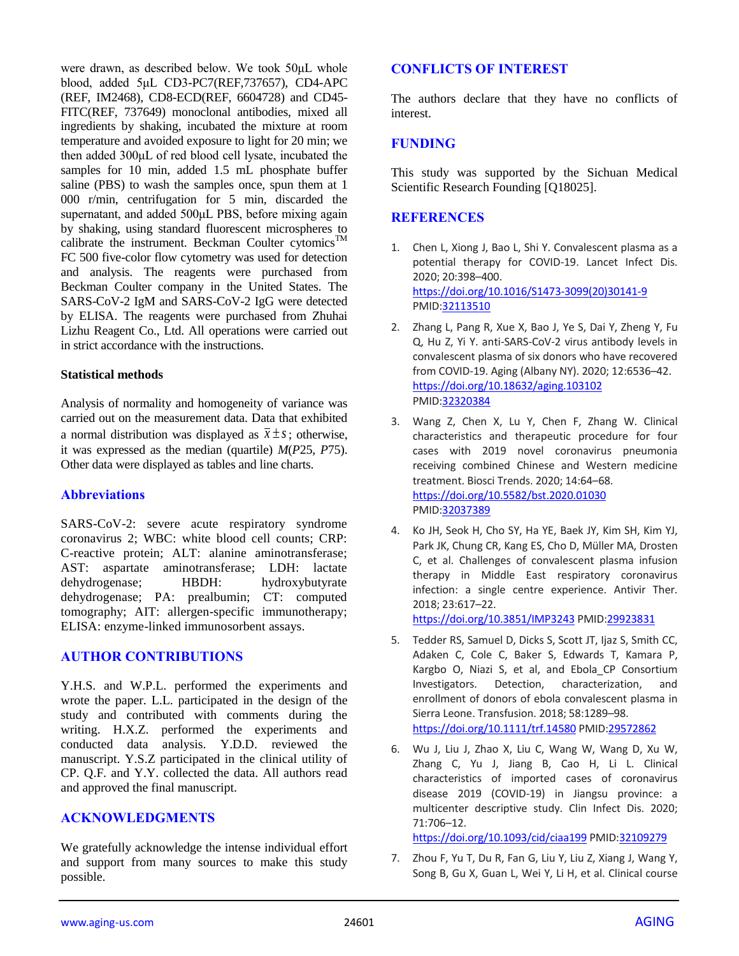were drawn, as described below. We took 50μL whole blood, added 5μL CD3-PC7(REF,737657), CD4-APC (REF, IM2468), CD8-ECD(REF, 6604728) and CD45- FITC(REF, 737649) monoclonal antibodies, mixed all ingredients by shaking, incubated the mixture at room temperature and avoided exposure to light for 20 min; we then added 300μL of red blood cell lysate, incubated the samples for 10 min, added 1.5 mL phosphate buffer saline (PBS) to wash the samples once, spun them at 1 000 r/min, centrifugation for 5 min, discarded the supernatant, and added 500μL PBS, before mixing again by shaking, using standard fluorescent microspheres to calibrate the instrument. Beckman Coulter cytomics<sup>TM</sup> FC 500 five-color flow cytometry was used for detection and analysis. The reagents were purchased from Beckman Coulter company in the United States. The SARS-CoV-2 IgM and SARS-CoV-2 IgG were detected by ELISA. The reagents were purchased from Zhuhai Lizhu Reagent Co., Ltd. All operations were carried out in strict accordance with the instructions.

#### **Statistical methods**

Analysis of normality and homogeneity of variance was carried out on the measurement data. Data that exhibited a normal distribution was displayed as  $\bar{x} \pm s$ ; otherwise, it was expressed as the median (quartile) *M*(*P*25, *P*75). Other data were displayed as tables and line charts.

## **Abbreviations**

SARS-CoV-2: severe acute respiratory syndrome coronavirus 2; WBC: white blood cell counts; CRP: C-reactive protein; ALT: alanine aminotransferase; AST: aspartate aminotransferase; LDH: lactate dehydrogenase; HBDH: hydroxybutyrate dehydrogenase; PA: prealbumin; CT: computed tomography; AIT: allergen-specific immunotherapy; ELISA: enzyme-linked immunosorbent assays.

# **AUTHOR CONTRIBUTIONS**

Y.H.S. and W.P.L. performed the experiments and wrote the paper. L.L. participated in the design of the study and contributed with comments during the writing. H.X.Z. performed the experiments and conducted data analysis. Y.D.D. reviewed the manuscript. Y.S.Z participated in the clinical utility of CP. Q.F. and Y.Y. collected the data. All authors read and approved the final manuscript.

## **ACKNOWLEDGMENTS**

We gratefully acknowledge the intense individual effort and support from many sources to make this study possible.

## **CONFLICTS OF INTEREST**

The authors declare that they have no conflicts of interest.

# **FUNDING**

This study was supported by the Sichuan Medical Scientific Research Founding [Q18025].

# **REFERENCES**

- 1. Chen L, Xiong J, Bao L, Shi Y. Convalescent plasma as a potential therapy for COVID-19. Lancet Infect Dis. 2020; 20:398–400. [https://doi.org/10.1016/S1473-3099\(20\)30141-9](https://doi.org/10.1016/S1473-3099(20)30141-9) PMI[D:32113510](https://pubmed.ncbi.nlm.nih.gov/32113510)
- 2. Zhang L, Pang R, Xue X, Bao J, Ye S, Dai Y, Zheng Y, Fu Q, Hu Z, Yi Y. anti-SARS-CoV-2 virus antibody levels in convalescent plasma of six donors who have recovered from COVID-19. Aging (Albany NY). 2020; 12:6536–42. <https://doi.org/10.18632/aging.103102> PMI[D:32320384](https://pubmed.ncbi.nlm.nih.gov/32320384)
- 3. Wang Z, Chen X, Lu Y, Chen F, Zhang W. Clinical characteristics and therapeutic procedure for four cases with 2019 novel coronavirus pneumonia receiving combined Chinese and Western medicine treatment. Biosci Trends. 2020; 14:64–68. <https://doi.org/10.5582/bst.2020.01030> PMI[D:32037389](https://pubmed.ncbi.nlm.nih.gov/32037389)
- 4. Ko JH, Seok H, Cho SY, Ha YE, Baek JY, Kim SH, Kim YJ, Park JK, Chung CR, Kang ES, Cho D, Müller MA, Drosten C, et al. Challenges of convalescent plasma infusion therapy in Middle East respiratory coronavirus infection: a single centre experience. Antivir Ther. 2018; 23:617–22.

<https://doi.org/10.3851/IMP3243> PMID[:29923831](https://pubmed.ncbi.nlm.nih.gov/29923831)

- 5. Tedder RS, Samuel D, Dicks S, Scott JT, Ijaz S, Smith CC, Adaken C, Cole C, Baker S, Edwards T, Kamara P, Kargbo O, Niazi S, et al, and Ebola CP Consortium Investigators. Detection, characterization, and enrollment of donors of ebola convalescent plasma in Sierra Leone. Transfusion. 2018; 58:1289–98. <https://doi.org/10.1111/trf.14580> PMID[:29572862](https://pubmed.ncbi.nlm.nih.gov/29572862)
- 6. Wu J, Liu J, Zhao X, Liu C, Wang W, Wang D, Xu W, Zhang C, Yu J, Jiang B, Cao H, Li L. Clinical characteristics of imported cases of coronavirus disease 2019 (COVID-19) in Jiangsu province: a multicenter descriptive study. Clin Infect Dis. 2020; 71:706–12.

<https://doi.org/10.1093/cid/ciaa199> PMID[:32109279](https://pubmed.ncbi.nlm.nih.gov/32109279)

7. Zhou F, Yu T, Du R, Fan G, Liu Y, Liu Z, Xiang J, Wang Y, Song B, Gu X, Guan L, Wei Y, Li H, et al. Clinical course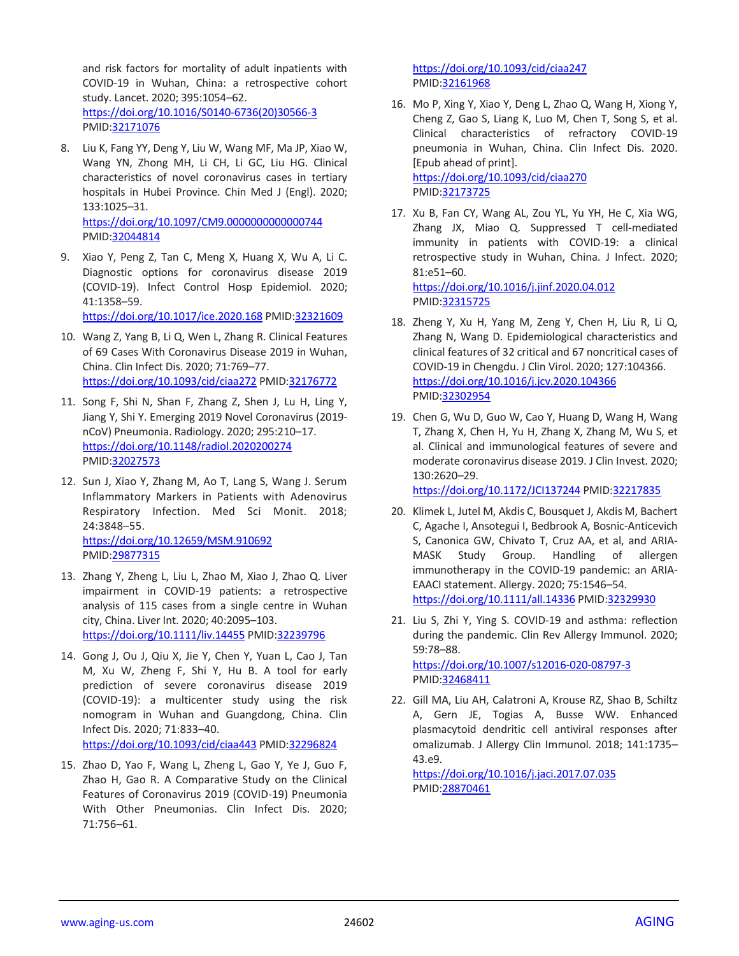and risk factors for mortality of adult inpatients with COVID-19 in Wuhan, China: a retrospective cohort study. Lancet. 2020; 395:1054–62. [https://doi.org/10.1016/S0140-6736\(20\)30566-3](https://doi.org/10.1016/S0140-6736(20)30566-3) PMID[:32171076](https://pubmed.ncbi.nlm.nih.gov/32171076)

- 8. Liu K, Fang YY, Deng Y, Liu W, Wang MF, Ma JP, Xiao W, Wang YN, Zhong MH, Li CH, Li GC, Liu HG. Clinical characteristics of novel coronavirus cases in tertiary hospitals in Hubei Province. Chin Med J (Engl). 2020; 133:1025–31. <https://doi.org/10.1097/CM9.0000000000000744> PMID[:32044814](https://pubmed.ncbi.nlm.nih.gov/32044814)
- 9. Xiao Y, Peng Z, Tan C, Meng X, Huang X, Wu A, Li C. Diagnostic options for coronavirus disease 2019 (COVID-19). Infect Control Hosp Epidemiol. 2020; 41:1358–59.

<https://doi.org/10.1017/ice.2020.168> PMID[:32321609](https://pubmed.ncbi.nlm.nih.gov/32321609)

- 10. Wang Z, Yang B, Li Q, Wen L, Zhang R. Clinical Features of 69 Cases With Coronavirus Disease 2019 in Wuhan, China. Clin Infect Dis. 2020; 71:769–77. <https://doi.org/10.1093/cid/ciaa272> PMI[D:32176772](https://pubmed.ncbi.nlm.nih.gov/32176772)
- 11. Song F, Shi N, Shan F, Zhang Z, Shen J, Lu H, Ling Y, Jiang Y, Shi Y. Emerging 2019 Novel Coronavirus (2019 nCoV) Pneumonia. Radiology. 2020; 295:210–17. <https://doi.org/10.1148/radiol.2020200274> PMID[:32027573](https://pubmed.ncbi.nlm.nih.gov/32027573)
- 12. Sun J, Xiao Y, Zhang M, Ao T, Lang S, Wang J. Serum Inflammatory Markers in Patients with Adenovirus Respiratory Infection. Med Sci Monit. 2018; 24:3848–55. <https://doi.org/10.12659/MSM.910692> PMID[:29877315](https://pubmed.ncbi.nlm.nih.gov/29877315)
- 13. Zhang Y, Zheng L, Liu L, Zhao M, Xiao J, Zhao Q. Liver impairment in COVID-19 patients: a retrospective analysis of 115 cases from a single centre in Wuhan city, China. Liver Int. 2020; 40:2095–103. <https://doi.org/10.1111/liv.14455> PMID[:32239796](https://pubmed.ncbi.nlm.nih.gov/32239796)
- 14. Gong J, Ou J, Qiu X, Jie Y, Chen Y, Yuan L, Cao J, Tan M, Xu W, Zheng F, Shi Y, Hu B. A tool for early prediction of severe coronavirus disease 2019 (COVID-19): a multicenter study using the risk nomogram in Wuhan and Guangdong, China. Clin Infect Dis. 2020; 71:833–40. <https://doi.org/10.1093/cid/ciaa443> PMI[D:32296824](https://pubmed.ncbi.nlm.nih.gov/32296824)

15. Zhao D, Yao F, Wang L, Zheng L, Gao Y, Ye J, Guo F, Zhao H, Gao R. A Comparative Study on the Clinical Features of Coronavirus 2019 (COVID-19) Pneumonia With Other Pneumonias. Clin Infect Dis. 2020; 71:756–61.

<https://doi.org/10.1093/cid/ciaa247> PMI[D:32161968](https://pubmed.ncbi.nlm.nih.gov/32161968)

- 16. Mo P, Xing Y, Xiao Y, Deng L, Zhao Q, Wang H, Xiong Y, Cheng Z, Gao S, Liang K, Luo M, Chen T, Song S, et al. Clinical characteristics of refractory COVID-19 pneumonia in Wuhan, China. Clin Infect Dis. 2020. [Epub ahead of print]. <https://doi.org/10.1093/cid/ciaa270> PMI[D:32173725](https://pubmed.ncbi.nlm.nih.gov/32173725)
- 17. Xu B, Fan CY, Wang AL, Zou YL, Yu YH, He C, Xia WG, Zhang JX, Miao Q. Suppressed T cell-mediated immunity in patients with COVID-19: a clinical retrospective study in Wuhan, China. J Infect. 2020; 81:e51–60. <https://doi.org/10.1016/j.jinf.2020.04.012>

PMI[D:32315725](https://pubmed.ncbi.nlm.nih.gov/32315725)

- 18. Zheng Y, Xu H, Yang M, Zeng Y, Chen H, Liu R, Li Q, Zhang N, Wang D. Epidemiological characteristics and clinical features of 32 critical and 67 noncritical cases of COVID-19 in Chengdu. J Clin Virol. 2020; 127:104366. <https://doi.org/10.1016/j.jcv.2020.104366> PMI[D:32302954](https://pubmed.ncbi.nlm.nih.gov/32302954)
- 19. Chen G, Wu D, Guo W, Cao Y, Huang D, Wang H, Wang T, Zhang X, Chen H, Yu H, Zhang X, Zhang M, Wu S, et al. Clinical and immunological features of severe and moderate coronavirus disease 2019. J Clin Invest. 2020; 130:2620–29.

<https://doi.org/10.1172/JCI137244> PMID[:32217835](https://pubmed.ncbi.nlm.nih.gov/32217835)

- 20. Klimek L, Jutel M, Akdis C, Bousquet J, Akdis M, Bachert C, Agache I, Ansotegui I, Bedbrook A, Bosnic-Anticevich S, Canonica GW, Chivato T, Cruz AA, et al, and ARIA-MASK Study Group. Handling of allergen immunotherapy in the COVID-19 pandemic: an ARIA-EAACI statement. Allergy. 2020; 75:1546–54. <https://doi.org/10.1111/all.14336> PMI[D:32329930](https://pubmed.ncbi.nlm.nih.gov/32329930)
- 21. Liu S, Zhi Y, Ying S. COVID-19 and asthma: reflection during the pandemic. Clin Rev Allergy Immunol. 2020; 59:78–88.

<https://doi.org/10.1007/s12016-020-08797-3> PMI[D:32468411](https://pubmed.ncbi.nlm.nih.gov/32468411)

22. Gill MA, Liu AH, Calatroni A, Krouse RZ, Shao B, Schiltz A, Gern JE, Togias A, Busse WW. Enhanced plasmacytoid dendritic cell antiviral responses after omalizumab. J Allergy Clin Immunol. 2018; 141:1735– 43.e9.

<https://doi.org/10.1016/j.jaci.2017.07.035> PMI[D:28870461](https://pubmed.ncbi.nlm.nih.gov/28870461)